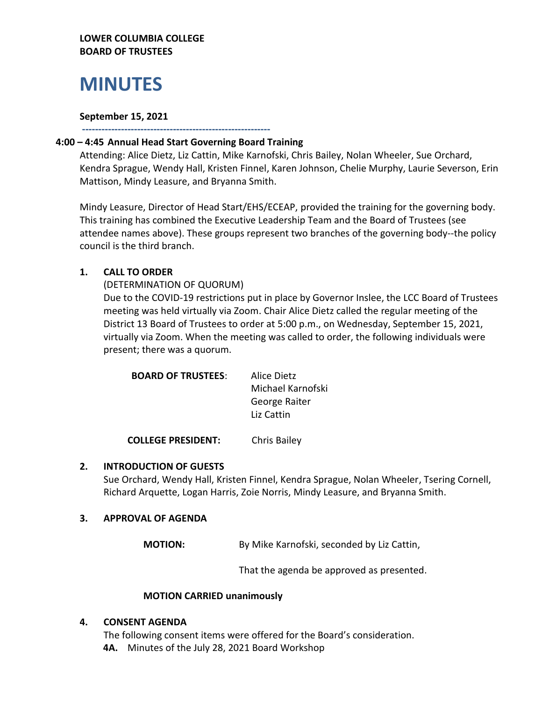# **MINUTES**

## **September 15, 2021**

# **---------------------------------------------------------- 4:00 – 4:45 Annual Head Start Governing Board Training**

Attending: Alice Dietz, Liz Cattin, Mike Karnofski, Chris Bailey, Nolan Wheeler, Sue Orchard, Kendra Sprague, Wendy Hall, Kristen Finnel, Karen Johnson, Chelie Murphy, Laurie Severson, Erin Mattison, Mindy Leasure, and Bryanna Smith.

Mindy Leasure, Director of Head Start/EHS/ECEAP, provided the training for the governing body. This training has combined the Executive Leadership Team and the Board of Trustees (see attendee names above). These groups represent two branches of the governing body--the policy council is the third branch.

# **1. CALL TO ORDER**

(DETERMINATION OF QUORUM)

Due to the COVID-19 restrictions put in place by Governor Inslee, the LCC Board of Trustees meeting was held virtually via Zoom. Chair Alice Dietz called the regular meeting of the District 13 Board of Trustees to order at 5:00 p.m., on Wednesday, September 15, 2021, virtually via Zoom. When the meeting was called to order, the following individuals were present; there was a quorum.

| <b>BOARD OF TRUSTEES:</b> | Alice Dietz       |
|---------------------------|-------------------|
|                           | Michael Karnofski |
|                           | George Raiter     |
|                           | Liz Cattin        |
|                           |                   |

**COLLEGE PRESIDENT:** Chris Bailey

# **2. INTRODUCTION OF GUESTS**

Sue Orchard, Wendy Hall, Kristen Finnel, Kendra Sprague, Nolan Wheeler, Tsering Cornell, Richard Arquette, Logan Harris, Zoie Norris, Mindy Leasure, and Bryanna Smith.

# **3. APPROVAL OF AGENDA**

**MOTION:** By Mike Karnofski, seconded by Liz Cattin,

That the agenda be approved as presented.

#### **MOTION CARRIED unanimously**

#### **4. CONSENT AGENDA**

The following consent items were offered for the Board's consideration. **4A.** Minutes of the July 28, 2021 Board Workshop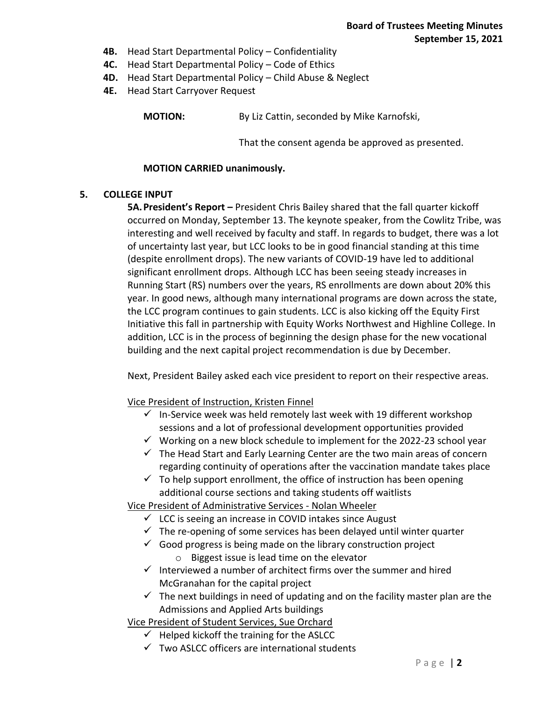- **4B.** Head Start Departmental Policy Confidentiality
- **4C.** Head Start Departmental Policy Code of Ethics
- **4D.** Head Start Departmental Policy Child Abuse & Neglect
- **4E.** Head Start Carryover Request

**MOTION:** By Liz Cattin, seconded by Mike Karnofski,

That the consent agenda be approved as presented.

#### **MOTION CARRIED unanimously.**

#### **5. COLLEGE INPUT**

**5A.President's Report –** President Chris Bailey shared that the fall quarter kickoff occurred on Monday, September 13. The keynote speaker, from the Cowlitz Tribe, was interesting and well received by faculty and staff. In regards to budget, there was a lot of uncertainty last year, but LCC looks to be in good financial standing at this time (despite enrollment drops). The new variants of COVID-19 have led to additional significant enrollment drops. Although LCC has been seeing steady increases in Running Start (RS) numbers over the years, RS enrollments are down about 20% this year. In good news, although many international programs are down across the state, the LCC program continues to gain students. LCC is also kicking off the Equity First Initiative this fall in partnership with Equity Works Northwest and Highline College. In addition, LCC is in the process of beginning the design phase for the new vocational building and the next capital project recommendation is due by December.

Next, President Bailey asked each vice president to report on their respective areas.

Vice President of Instruction, Kristen Finnel

- $\checkmark$  In-Service week was held remotely last week with 19 different workshop sessions and a lot of professional development opportunities provided
- $\checkmark$  Working on a new block schedule to implement for the 2022-23 school year
- $\checkmark$  The Head Start and Early Learning Center are the two main areas of concern regarding continuity of operations after the vaccination mandate takes place
- $\checkmark$  To help support enrollment, the office of instruction has been opening additional course sections and taking students off waitlists

Vice President of Administrative Services - Nolan Wheeler

- $\checkmark$  LCC is seeing an increase in COVID intakes since August
- $\checkmark$  The re-opening of some services has been delayed until winter quarter
- $\checkmark$  Good progress is being made on the library construction project
	- o Biggest issue is lead time on the elevator
- $\checkmark$  Interviewed a number of architect firms over the summer and hired McGranahan for the capital project
- $\checkmark$  The next buildings in need of updating and on the facility master plan are the Admissions and Applied Arts buildings

Vice President of Student Services, Sue Orchard

- $\checkmark$  Helped kickoff the training for the ASLCC
- $\checkmark$  Two ASLCC officers are international students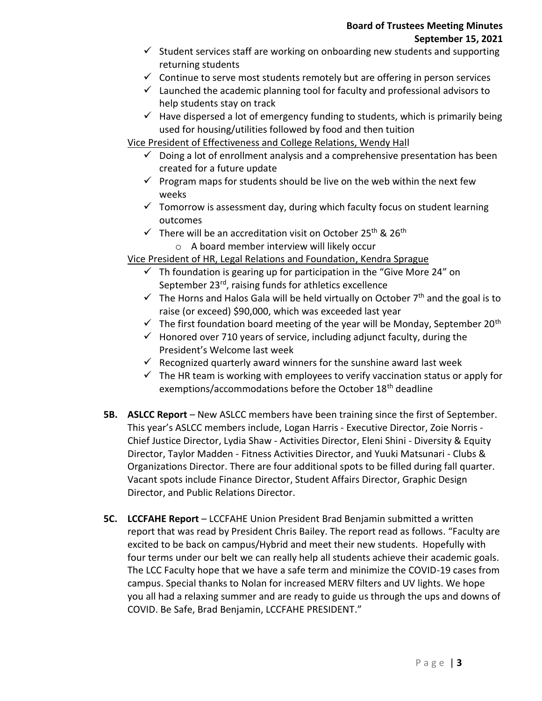- $\checkmark$  Student services staff are working on onboarding new students and supporting returning students
- $\checkmark$  Continue to serve most students remotely but are offering in person services
- $\checkmark$  Launched the academic planning tool for faculty and professional advisors to help students stay on track
- $\checkmark$  Have dispersed a lot of emergency funding to students, which is primarily being used for housing/utilities followed by food and then tuition

Vice President of Effectiveness and College Relations, Wendy Hall

- $\checkmark$  Doing a lot of enrollment analysis and a comprehensive presentation has been created for a future update
- $\checkmark$  Program maps for students should be live on the web within the next few weeks
- $\checkmark$  Tomorrow is assessment day, during which faculty focus on student learning outcomes
- $\checkmark$  There will be an accreditation visit on October 25<sup>th</sup> & 26<sup>th</sup> o A board member interview will likely occur

# Vice President of HR, Legal Relations and Foundation, Kendra Sprague

- $\checkmark$  Th foundation is gearing up for participation in the "Give More 24" on September 23<sup>rd</sup>, raising funds for athletics excellence
- $\checkmark$  The Horns and Halos Gala will be held virtually on October 7<sup>th</sup> and the goal is to raise (or exceed) \$90,000, which was exceeded last year
- $\checkmark$  The first foundation board meeting of the year will be Monday, September 20<sup>th</sup>
- $\checkmark$  Honored over 710 years of service, including adjunct faculty, during the President's Welcome last week
- $\checkmark$  Recognized quarterly award winners for the sunshine award last week
- $\checkmark$  The HR team is working with employees to verify vaccination status or apply for exemptions/accommodations before the October 18<sup>th</sup> deadline
- **5B. ASLCC Report**  New ASLCC members have been training since the first of September. This year's ASLCC members include, Logan Harris - Executive Director, Zoie Norris - Chief Justice Director, Lydia Shaw - Activities Director, Eleni Shini - Diversity & Equity Director, Taylor Madden - Fitness Activities Director, and Yuuki Matsunari - Clubs & Organizations Director. There are four additional spots to be filled during fall quarter. Vacant spots include Finance Director, Student Affairs Director, Graphic Design Director, and Public Relations Director.
- **5C. LCCFAHE Report** LCCFAHE Union President Brad Benjamin submitted a written report that was read by President Chris Bailey. The report read as follows. "Faculty are excited to be back on campus/Hybrid and meet their new students. Hopefully with four terms under our belt we can really help all students achieve their academic goals. The LCC Faculty hope that we have a safe term and minimize the COVID-19 cases from campus. Special thanks to Nolan for increased MERV filters and UV lights. We hope you all had a relaxing summer and are ready to guide us through the ups and downs of COVID. Be Safe, Brad Benjamin, LCCFAHE PRESIDENT."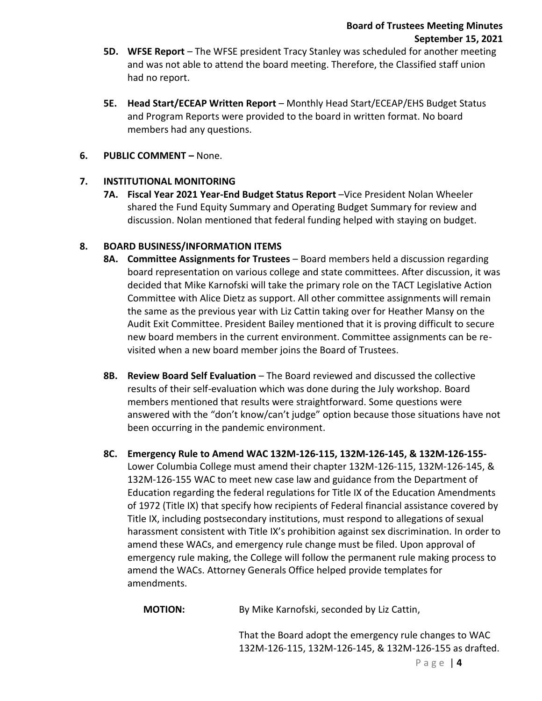- **5D. WFSE Report** The WFSE president Tracy Stanley was scheduled for another meeting and was not able to attend the board meeting. Therefore, the Classified staff union had no report.
- **5E. Head Start/ECEAP Written Report** Monthly Head Start/ECEAP/EHS Budget Status and Program Reports were provided to the board in written format. No board members had any questions.
- **6. PUBLIC COMMENT –** None.

# **7. INSTITUTIONAL MONITORING**

**7A. Fiscal Year 2021 Year-End Budget Status Report** –Vice President Nolan Wheeler shared the Fund Equity Summary and Operating Budget Summary for review and discussion. Nolan mentioned that federal funding helped with staying on budget.

# **8. BOARD BUSINESS/INFORMATION ITEMS**

- **8A. Committee Assignments for Trustees** Board members held a discussion regarding board representation on various college and state committees. After discussion, it was decided that Mike Karnofski will take the primary role on the TACT Legislative Action Committee with Alice Dietz as support. All other committee assignments will remain the same as the previous year with Liz Cattin taking over for Heather Mansy on the Audit Exit Committee. President Bailey mentioned that it is proving difficult to secure new board members in the current environment. Committee assignments can be revisited when a new board member joins the Board of Trustees.
- **8B. Review Board Self Evaluation**  The Board reviewed and discussed the collective results of their self-evaluation which was done during the July workshop. Board members mentioned that results were straightforward. Some questions were answered with the "don't know/can't judge" option because those situations have not been occurring in the pandemic environment.
- **8C. Emergency Rule to Amend WAC 132M-126-115, 132M-126-145, & 132M-126-155-** Lower Columbia College must amend their chapter 132M-126-115, 132M-126-145, & 132M-126-155 WAC to meet new case law and guidance from the Department of Education regarding the federal regulations for Title IX of the Education Amendments of 1972 (Title IX) that specify how recipients of Federal financial assistance covered by Title IX, including postsecondary institutions, must respond to allegations of sexual harassment consistent with Title IX's prohibition against sex discrimination. In order to amend these WACs, and emergency rule change must be filed. Upon approval of emergency rule making, the College will follow the permanent rule making process to amend the WACs. Attorney Generals Office helped provide templates for amendments.

**MOTION:** By Mike Karnofski, seconded by Liz Cattin,

That the Board adopt the emergency rule changes to WAC 132M-126-115, 132M-126-145, & 132M-126-155 as drafted.